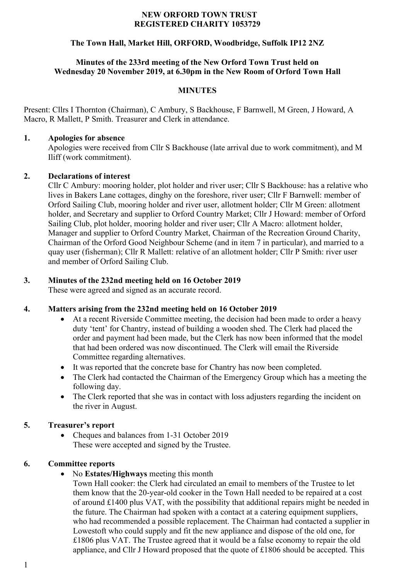#### **NEW ORFORD TOWN TRUST REGISTERED CHARITY 1053729**

# **The Town Hall, Market Hill, ORFORD, Woodbridge, Suffolk IP12 2NZ**

#### **Minutes of the 233rd meeting of the New Orford Town Trust held on Wednesday 20 November 2019, at 6.30pm in the New Room of Orford Town Hall**

#### **MINUTES**

Present: Cllrs I Thornton (Chairman), C Ambury, S Backhouse, F Barnwell, M Green, J Howard, A Macro, R Mallett, P Smith. Treasurer and Clerk in attendance.

#### **1. Apologies for absence**

Apologies were received from Cllr S Backhouse (late arrival due to work commitment), and M Iliff (work commitment).

#### **2. Declarations of interest**

Cllr C Ambury: mooring holder, plot holder and river user; Cllr S Backhouse: has a relative who lives in Bakers Lane cottages, dinghy on the foreshore, river user; Cllr F Barnwell: member of Orford Sailing Club, mooring holder and river user, allotment holder; Cllr M Green: allotment holder, and Secretary and supplier to Orford Country Market; Cllr J Howard: member of Orford Sailing Club, plot holder, mooring holder and river user; Cllr A Macro: allotment holder, Manager and supplier to Orford Country Market, Chairman of the Recreation Ground Charity, Chairman of the Orford Good Neighbour Scheme (and in item 7 in particular), and married to a quay user (fisherman); Cllr R Mallett: relative of an allotment holder; Cllr P Smith: river user and member of Orford Sailing Club.

# **3. Minutes of the 232nd meeting held on 16 October 2019**

These were agreed and signed as an accurate record.

# **4. Matters arising from the 232nd meeting held on 16 October 2019**

- At a recent Riverside Committee meeting, the decision had been made to order a heavy duty 'tent' for Chantry, instead of building a wooden shed. The Clerk had placed the order and payment had been made, but the Clerk has now been informed that the model that had been ordered was now discontinued. The Clerk will email the Riverside Committee regarding alternatives.
- It was reported that the concrete base for Chantry has now been completed.
- The Clerk had contacted the Chairman of the Emergency Group which has a meeting the following day.
- The Clerk reported that she was in contact with loss adjusters regarding the incident on the river in August.

# **5. Treasurer's report**

• Cheques and balances from 1-31 October 2019 These were accepted and signed by the Trustee.

# **6. Committee reports**

• No **Estates/Highways** meeting this month

Town Hall cooker: the Clerk had circulated an email to members of the Trustee to let them know that the 20-year-old cooker in the Town Hall needed to be repaired at a cost of around £1400 plus VAT, with the possibility that additional repairs might be needed in the future. The Chairman had spoken with a contact at a catering equipment suppliers, who had recommended a possible replacement. The Chairman had contacted a supplier in Lowestoft who could supply and fit the new appliance and dispose of the old one, for £1806 plus VAT. The Trustee agreed that it would be a false economy to repair the old appliance, and Cllr J Howard proposed that the quote of £1806 should be accepted. This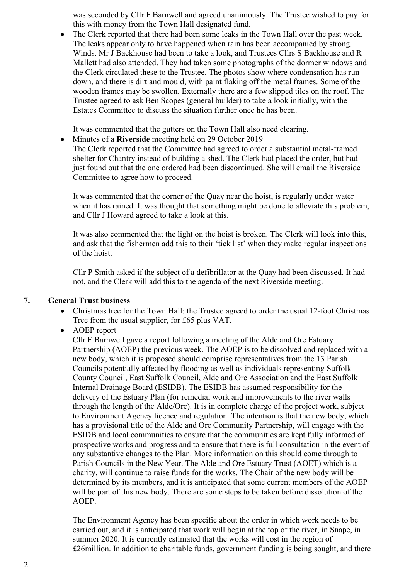was seconded by Cllr F Barnwell and agreed unanimously. The Trustee wished to pay for this with money from the Town Hall designated fund.

• The Clerk reported that there had been some leaks in the Town Hall over the past week. The leaks appear only to have happened when rain has been accompanied by strong. Winds. Mr J Backhouse had been to take a look, and Trustees Cllrs S Backhouse and R Mallett had also attended. They had taken some photographs of the dormer windows and the Clerk circulated these to the Trustee. The photos show where condensation has run down, and there is dirt and mould, with paint flaking off the metal frames. Some of the wooden frames may be swollen. Externally there are a few slipped tiles on the roof. The Trustee agreed to ask Ben Scopes (general builder) to take a look initially, with the Estates Committee to discuss the situation further once he has been.

It was commented that the gutters on the Town Hall also need clearing.

• Minutes of a **Riverside** meeting held on 29 October 2019 The Clerk reported that the Committee had agreed to order a substantial metal-framed shelter for Chantry instead of building a shed. The Clerk had placed the order, but had

just found out that the one ordered had been discontinued. She will email the Riverside Committee to agree how to proceed.

It was commented that the corner of the Quay near the hoist, is regularly under water when it has rained. It was thought that something might be done to alleviate this problem, and Cllr J Howard agreed to take a look at this.

It was also commented that the light on the hoist is broken. The Clerk will look into this, and ask that the fishermen add this to their 'tick list' when they make regular inspections of the hoist.

Cllr P Smith asked if the subject of a defibrillator at the Quay had been discussed. It had not, and the Clerk will add this to the agenda of the next Riverside meeting.

# **7. General Trust business**

- Christmas tree for the Town Hall: the Trustee agreed to order the usual 12-foot Christmas Tree from the usual supplier, for £65 plus VAT.
- AOEP report

Cllr F Barnwell gave a report following a meeting of the Alde and Ore Estuary Partnership (AOEP) the previous week. The AOEP is to be dissolved and replaced with a new body, which it is proposed should comprise representatives from the 13 Parish Councils potentially affected by flooding as well as individuals representing Suffolk County Council, East Suffolk Council, Alde and Ore Association and the East Suffolk Internal Drainage Board (ESIDB). The ESIDB has assumed responsibility for the delivery of the Estuary Plan (for remedial work and improvements to the river walls through the length of the Alde/Ore). It is in complete charge of the project work, subject to Environment Agency licence and regulation. The intention is that the new body, which has a provisional title of the Alde and Ore Community Partnership, will engage with the ESIDB and local communities to ensure that the communities are kept fully informed of prospective works and progress and to ensure that there is full consultation in the event of any substantive changes to the Plan. More information on this should come through to Parish Councils in the New Year. The Alde and Ore Estuary Trust (AOET) which is a charity, will continue to raise funds for the works. The Chair of the new body will be determined by its members, and it is anticipated that some current members of the AOEP will be part of this new body. There are some steps to be taken before dissolution of the AOEP.

The Environment Agency has been specific about the order in which work needs to be carried out, and it is anticipated that work will begin at the top of the river, in Snape, in summer 2020. It is currently estimated that the works will cost in the region of £26million. In addition to charitable funds, government funding is being sought, and there